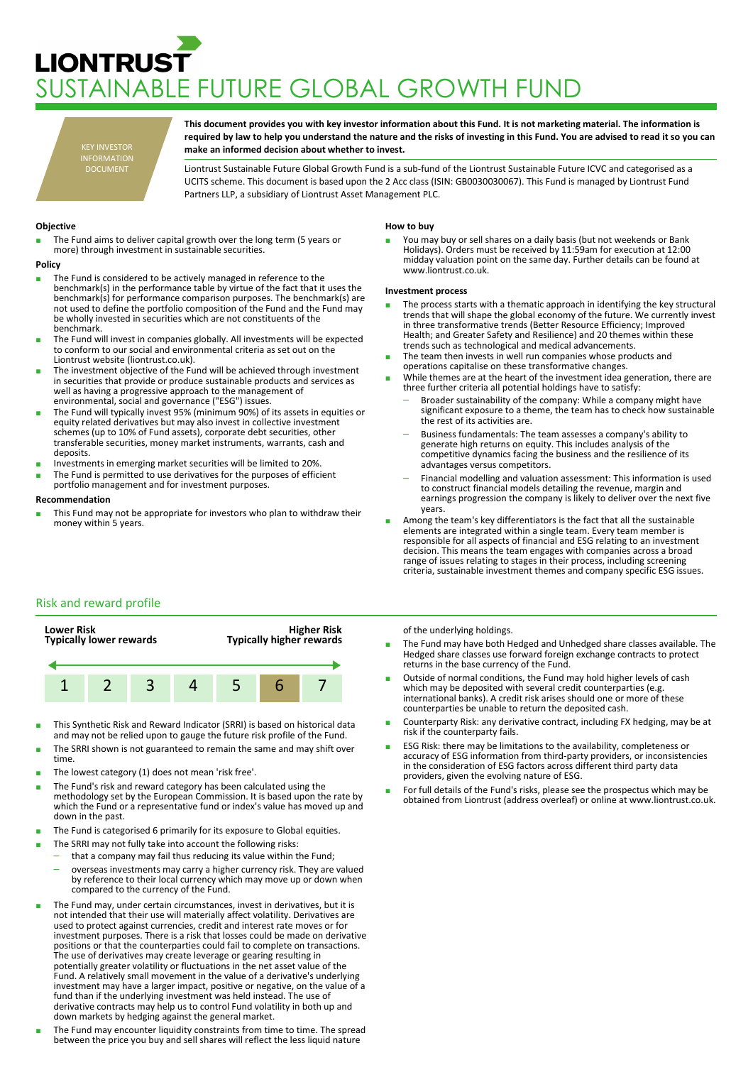# **LIONTRUST JSTAINABLE FUTURE GLOBAL GROWTH FUND**

KEY INVESTOR INFORMATION DOCUMENT

**This document provides you with key investor information about this Fund. It is not marketing material. The information is required by law to help you understand the nature and the risks of investing in this Fund. You are advised to read it so you can make an informed decision about whether to invest.**

Liontrust Sustainable Future Global Growth Fund is a sub-fund of the Liontrust Sustainable Future ICVC and categorised as a UCITS scheme. This document is based upon the 2 Acc class (ISIN: GB0030030067). This Fund is managed by Liontrust Fund Partners LLP, a subsidiary of Liontrust Asset Management PLC.

## **Objective**

The Fund aims to deliver capital growth over the long term (5 years or more) through investment in sustainable securities.

#### **Policy**

- The Fund is considered to be actively managed in reference to the benchmark(s) in the performance table by virtue of the fact that it uses the benchmark(s) for performance comparison purposes. The benchmark(s) are not used to define the portfolio composition of the Fund and the Fund may be wholly invested in securities which are not constituents of the benchmark.
- The Fund will invest in companies globally. All investments will be expected to conform to our social and environmental criteria as set out on the Liontrust website (liontrust.co.uk).
- The investment objective of the Fund will be achieved through investment in securities that provide or produce sustainable products and services as well as having a progressive approach to the management of environmental, social and governance ("ESG") issues.
- The Fund will typically invest 95% (minimum 90%) of its assets in equities or equity related derivatives but may also invest in collective investment schemes (up to 10% of Fund assets), corporate debt securities, other transferable securities, money market instruments, warrants, cash and deposits.
- Investments in emerging market securities will be limited to 20%.
- The Fund is permitted to use derivatives for the purposes of efficient
- portfolio management and for investment purposes.

## **Recommendation**

■ This Fund may not be appropriate for investors who plan to withdraw their money within 5 years.

#### **How to buy**

You may buy or sell shares on a daily basis (but not weekends or Bank Holidays). Orders must be received by 11:59am for execution at 12:00 midday valuation point on the same day. Further details can be found at www.liontrust.co.uk.

## **Investment process**

- The process starts with a thematic approach in identifying the key structural trends that will shape the global economy of the future. We currently invest in three transformative trends (Better Resource Efficiency; Improved Health; and Greater Safety and Resilience) and 20 themes within these trends such as technological and medical advancements.
- The team then invests in well run companies whose products and operations capitalise on these transformative changes.
- While themes are at the heart of the investment idea generation, there are three further criteria all potential holdings have to satisfy:
	- Broader sustainability of the company: While a company might have significant exposure to a theme, the team has to check how sustainable the rest of its activities are.
	- Business fundamentals: The team assesses a company's ability to generate high returns on equity. This includes analysis of the competitive dynamics facing the business and the resilience of its advantages versus competitors.
	- Financial modelling and valuation assessment: This information is used to construct financial models detailing the revenue, margin and earnings progression the company is likely to deliver over the next five years.
- Among the team's key differentiators is the fact that all the sustainable elements are integrated within a single team. Every team member is responsible for all aspects of financial and ESG relating to an investment decision. This means the team engages with companies across a broad range of issues relating to stages in their process, including screening criteria, sustainable investment themes and company specific ESG issues.

# Risk and reward profile



- This Synthetic Risk and Reward Indicator (SRRI) is based on historical data and may not be relied upon to gauge the future risk profile of the Fund.
- The SRRI shown is not guaranteed to remain the same and may shift over time.
- The lowest category (1) does not mean 'risk free'.
- The Fund's risk and reward category has been calculated using the methodology set by the European Commission. It is based upon the rate by which the Fund or a representative fund or index's value has moved up and down in the past.
- The Fund is categorised 6 primarily for its exposure to Global equities.
- The SRRI may not fully take into account the following risks:
	- that a company may fail thus reducing its value within the Fund; – overseas investments may carry a higher currency risk. They are valued by reference to their local currency which may move up or down when compared to the currency of the Fund.
- The Fund may, under certain circumstances, invest in derivatives, but it is not intended that their use will materially affect volatility. Derivatives are used to protect against currencies, credit and interest rate moves or for investment purposes. There is a risk that losses could be made on derivative positions or that the counterparties could fail to complete on transactions. The use of derivatives may create leverage or gearing resulting in potentially greater volatility or fluctuations in the net asset value of the Fund. A relatively small movement in the value of a derivative's underlying investment may have a larger impact, positive or negative, on the value of a fund than if the underlying investment was held instead. The use of derivative contracts may help us to control Fund volatility in both up and down markets by hedging against the general market.
- The Fund may encounter liquidity constraints from time to time. The spread between the price you buy and sell shares will reflect the less liquid nature

## of the underlying holdings.

- The Fund may have both Hedged and Unhedged share classes available. The Hedged share classes use forward foreign exchange contracts to protect returns in the base currency of the Fund.
- Outside of normal conditions, the Fund may hold higher levels of cash which may be deposited with several credit counterparties (e.g. international banks). A credit risk arises should one or more of these counterparties be unable to return the deposited cash.
- Counterparty Risk: any derivative contract, including FX hedging, may be at risk if the counterparty fails.
- ESG Risk: there may be limitations to the availability, completeness or accuracy of ESG information from third-party providers, or inconsistencies in the consideration of ESG factors across different third party data providers, given the evolving nature of ESG.
- For full details of the Fund's risks, please see the prospectus which may be obtained from Liontrust (address overleaf) or online at www.liontrust.co.uk.